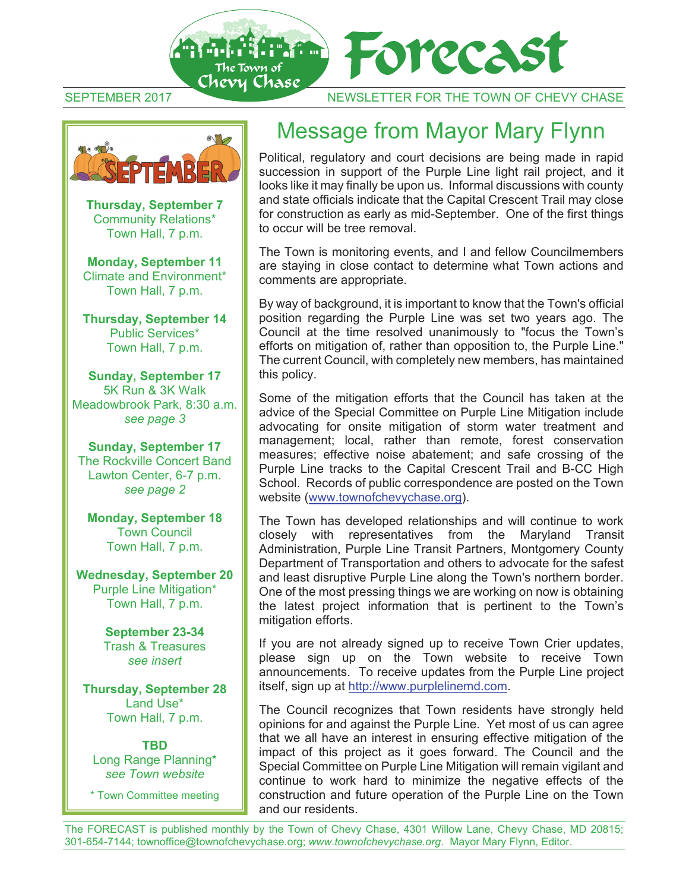

SEPTEMBER 2017 NEWSLETTER FOR THE TOWN OF CHEVY CHASE



**Thursday, September 7** Community Relations\* Town Hall, 7 p.m.

**Monday, September 11** Climate and Environment\* Town Hall, 7 p.m.

**Thursday, September 14**  Public Services\* Town Hall, 7 p.m.

**Sunday, September 17**  5K Run & 3K Walk Meadowbrook Park, 8:30 a.m. *see page 3* 

**Sunday, September 17**  The Rockville Concert Band Lawton Center, 6-7 p.m. *see page 2* 

**Monday, September 18**  Town Council Town Hall, 7 p.m.

**Wednesday, September 20**  Purple Line Mitigation\* Town Hall, 7 p.m.

> **September 23-34**  Trash & Treasures *see insert*

**Thursday, September 28**  Land Use\* Town Hall, 7 p.m.

**TBD**  Long Range Planning\* *see Town website*

\* Town Committee meeting

## Message from Mayor Mary Flynn

Political, regulatory and court decisions are being made in rapid succession in support of the Purple Line light rail project, and it looks like it may finally be upon us. Informal discussions with county and state officials indicate that the Capital Crescent Trail may close for construction as early as mid-September. One of the first things to occur will be tree removal.

The Town is monitoring events, and I and fellow Councilmembers are staying in close contact to determine what Town actions and comments are appropriate.

By way of background, it is important to know that the Town's official position regarding the Purple Line was set two years ago. The Council at the time resolved unanimously to "focus the Town's efforts on mitigation of, rather than opposition to, the Purple Line." The current Council, with completely new members, has maintained this policy.

Some of the mitigation efforts that the Council has taken at the advice of the Special Committee on Purple Line Mitigation include advocating for onsite mitigation of storm water treatment and management; local, rather than remote, forest conservation measures; effective noise abatement; and safe crossing of the Purple Line tracks to the Capital Crescent Trail and B-CC High School. Records of public correspondence are posted on the Town website (www.townofchevychase.org).

The Town has developed relationships and will continue to work closely with representatives from the Maryland Transit Administration, Purple Line Transit Partners, Montgomery County Department of Transportation and others to advocate for the safest and least disruptive Purple Line along the Town's northern border. One of the most pressing things we are working on now is obtaining the latest project information that is pertinent to the Town's mitigation efforts.

If you are not already signed up to receive Town Crier updates, please sign up on the Town website to receive Town announcements. To receive updates from the Purple Line project itself, sign up at http://www.purplelinemd.com.

The Council recognizes that Town residents have strongly held opinions for and against the Purple Line. Yet most of us can agree that we all have an interest in ensuring effective mitigation of the impact of this project as it goes forward. The Council and the Special Committee on Purple Line Mitigation will remain vigilant and continue to work hard to minimize the negative effects of the construction and future operation of the Purple Line on the Town and our residents.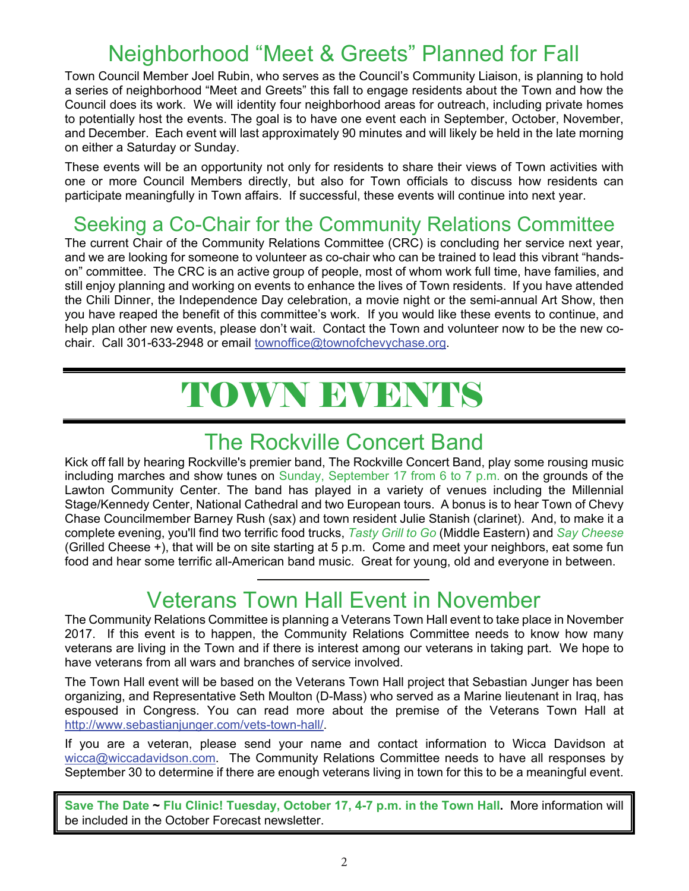## Neighborhood "Meet & Greets" Planned for Fall

Town Council Member Joel Rubin, who serves as the Council's Community Liaison, is planning to hold a series of neighborhood "Meet and Greets" this fall to engage residents about the Town and how the Council does its work. We will identity four neighborhood areas for outreach, including private homes to potentially host the events. The goal is to have one event each in September, October, November, and December. Each event will last approximately 90 minutes and will likely be held in the late morning on either a Saturday or Sunday.

These events will be an opportunity not only for residents to share their views of Town activities with one or more Council Members directly, but also for Town officials to discuss how residents can participate meaningfully in Town affairs. If successful, these events will continue into next year.

### Seeking a Co-Chair for the Community Relations Committee

The current Chair of the Community Relations Committee (CRC) is concluding her service next year, and we are looking for someone to volunteer as co-chair who can be trained to lead this vibrant "handson" committee. The CRC is an active group of people, most of whom work full time, have families, and still enjoy planning and working on events to enhance the lives of Town residents. If you have attended the Chili Dinner, the Independence Day celebration, a movie night or the semi-annual Art Show, then you have reaped the benefit of this committee's work. If you would like these events to continue, and help plan other new events, please don't wait. Contact the Town and volunteer now to be the new cochair. Call 301-633-2948 or email townoffice@townofchevychase.org.

# TOWN EVENTS

### The Rockville Concert Band

Kick off fall by hearing Rockville's premier band, The Rockville Concert Band, play some rousing music including marches and show tunes on Sunday, September 17 from 6 to 7 p.m. on the grounds of the Lawton Community Center. The band has played in a variety of venues including the Millennial Stage/Kennedy Center, National Cathedral and two European tours. A bonus is to hear Town of Chevy Chase Councilmember Barney Rush (sax) and town resident Julie Stanish (clarinet). And, to make it a complete evening, you'll find two terrific food trucks, *Tasty Grill to Go* (Middle Eastern) and *Say Cheese* (Grilled Cheese +), that will be on site starting at 5 p.m. Come and meet your neighbors, eat some fun food and hear some terrific all-American band music. Great for young, old and everyone in between.

## Veterans Town Hall Event in November

The Community Relations Committee is planning a Veterans Town Hall event to take place in November 2017. If this event is to happen, the Community Relations Committee needs to know how many veterans are living in the Town and if there is interest among our veterans in taking part. We hope to have veterans from all wars and branches of service involved.

The Town Hall event will be based on the Veterans Town Hall project that Sebastian Junger has been organizing, and Representative Seth Moulton (D-Mass) who served as a Marine lieutenant in Iraq, has espoused in Congress. You can read more about the premise of the Veterans Town Hall at http://www.sebastianjunger.com/vets-town-hall/.

If you are a veteran, please send your name and contact information to Wicca Davidson at wicca@wiccadavidson.com. The Community Relations Committee needs to have all responses by September 30 to determine if there are enough veterans living in town for this to be a meaningful event.

**Save The Date ~ Flu Clinic! Tuesday, October 17, 4-7 p.m. in the Town Hall.** More information will be included in the October Forecast newsletter.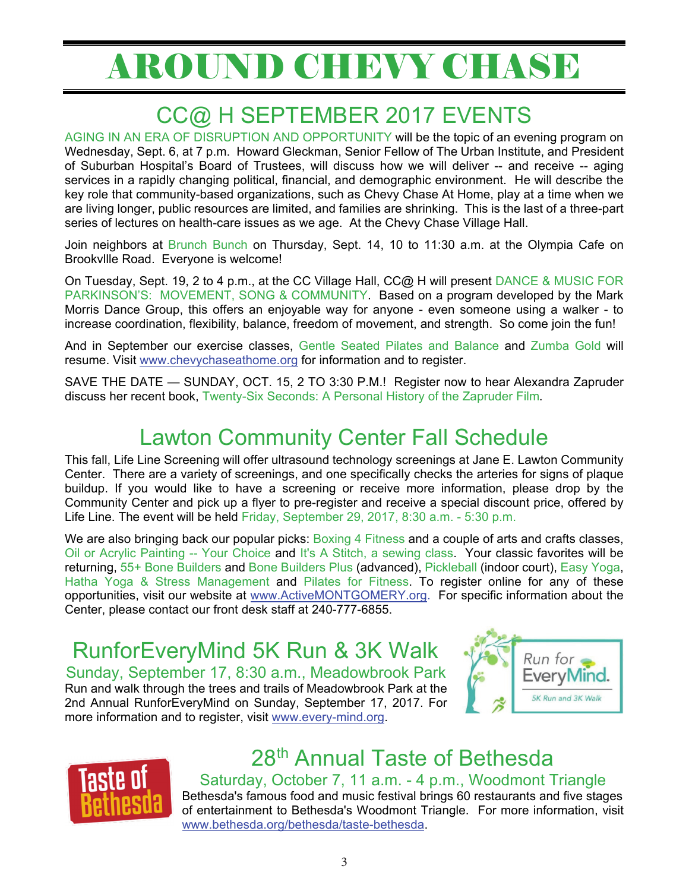# AROUND CHEVY CHASE

# CC@ H SEPTEMBER 2017 EVENTS

AGING IN AN ERA OF DISRUPTION AND OPPORTUNITY will be the topic of an evening program on Wednesday, Sept. 6, at 7 p.m. Howard Gleckman, Senior Fellow of The Urban Institute, and President of Suburban Hospital's Board of Trustees, will discuss how we will deliver -- and receive -- aging services in a rapidly changing political, financial, and demographic environment. He will describe the key role that community-based organizations, such as Chevy Chase At Home, play at a time when we are living longer, public resources are limited, and families are shrinking. This is the last of a three-part series of lectures on health-care issues as we age. At the Chevy Chase Village Hall.

Join neighbors at Brunch Bunch on Thursday, Sept. 14, 10 to 11:30 a.m. at the Olympia Cafe on Brookvllle Road. Everyone is welcome!

On Tuesday, Sept. 19, 2 to 4 p.m., at the CC Village Hall, CC@ H will present DANCE & MUSIC FOR PARKINSON'S: MOVEMENT, SONG & COMMUNITY. Based on a program developed by the Mark Morris Dance Group, this offers an enjoyable way for anyone - even someone using a walker - to increase coordination, flexibility, balance, freedom of movement, and strength. So come join the fun!

And in September our exercise classes, Gentle Seated Pilates and Balance and Zumba Gold will resume. Visit www.chevychaseathome.org for information and to register.

SAVE THE DATE — SUNDAY, OCT. 15, 2 TO 3:30 P.M.! Register now to hear Alexandra Zapruder discuss her recent book, Twenty-Six Seconds: A Personal History of the Zapruder Film.

## Lawton Community Center Fall Schedule

This fall, Life Line Screening will offer ultrasound technology screenings at Jane E. Lawton Community Center. There are a variety of screenings, and one specifically checks the arteries for signs of plaque buildup. If you would like to have a screening or receive more information, please drop by the Community Center and pick up a flyer to pre-register and receive a special discount price, offered by Life Line. The event will be held Friday, September 29, 2017, 8:30 a.m. - 5:30 p.m.

We are also bringing back our popular picks: Boxing 4 Fitness and a couple of arts and crafts classes, Oil or Acrylic Painting -- Your Choice and It's A Stitch, a sewing class. Your classic favorites will be returning, 55+ Bone Builders and Bone Builders Plus (advanced), Pickleball (indoor court), Easy Yoga, Hatha Yoga & Stress Management and Pilates for Fitness. To register online for any of these opportunities, visit our website at www.ActiveMONTGOMERY.org. For specific information about the Center, please contact our front desk staff at 240-777-6855.

RunforEveryMind 5K Run & 3K Walk

Sunday, September 17, 8:30 a.m., Meadowbrook Park Run and walk through the trees and trails of Meadowbrook Park at the 2nd Annual RunforEveryMind on Sunday, September 17, 2017. For more information and to register, visit www.every-mind.org.





# 28th Annual Taste of Bethesda

Saturday, October 7, 11 a.m. - 4 p.m., Woodmont Triangle Bethesda's famous food and music festival brings 60 restaurants and five stages of entertainment to Bethesda's Woodmont Triangle. For more information, visit www.bethesda.org/bethesda/taste-bethesda.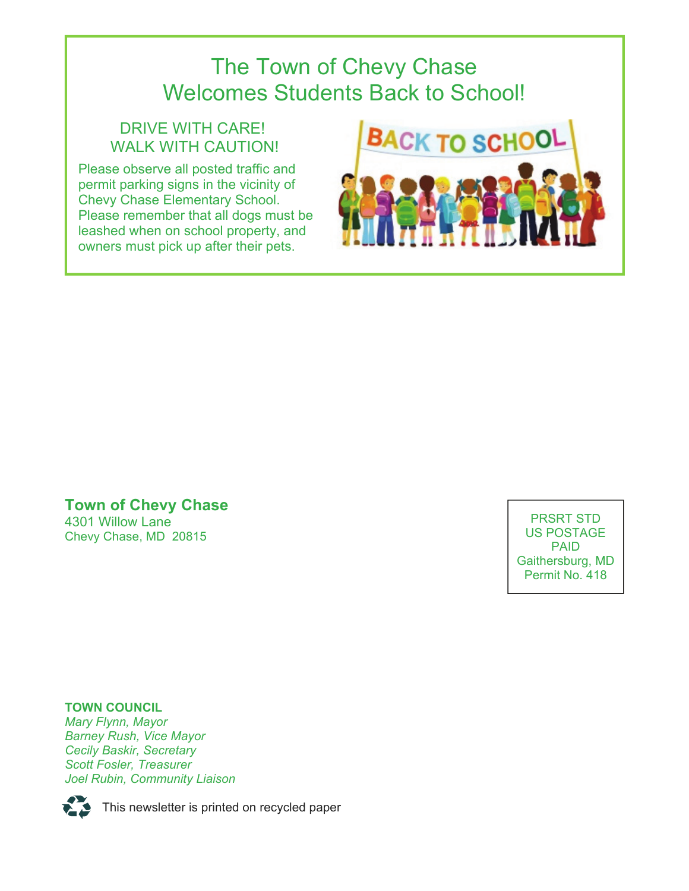## The Town of Chevy Chase Welcomes Students Back to School!

### DRIVE WITH CARE! WALK WITH CAUTION!

Please observe all posted traffic and permit parking signs in the vicinity of Chevy Chase Elementary School. Please remember that all dogs must be leashed when on school property, and owners must pick up after their pets.



### **Town of Chevy Chase**  4301 Willow Lane Chevy Chase, MD 20815

PRSRT STD US POSTAGE PAID Gaithersburg, MD Permit No. 418

**TOWN COUNCIL**  *Mary Flynn, Mayor Barney Rush, Vice Mayor Cecily Baskir, Secretary Scott Fosler, Treasurer Joel Rubin, Community Liaison* 



This newsletter is printed on recycled paper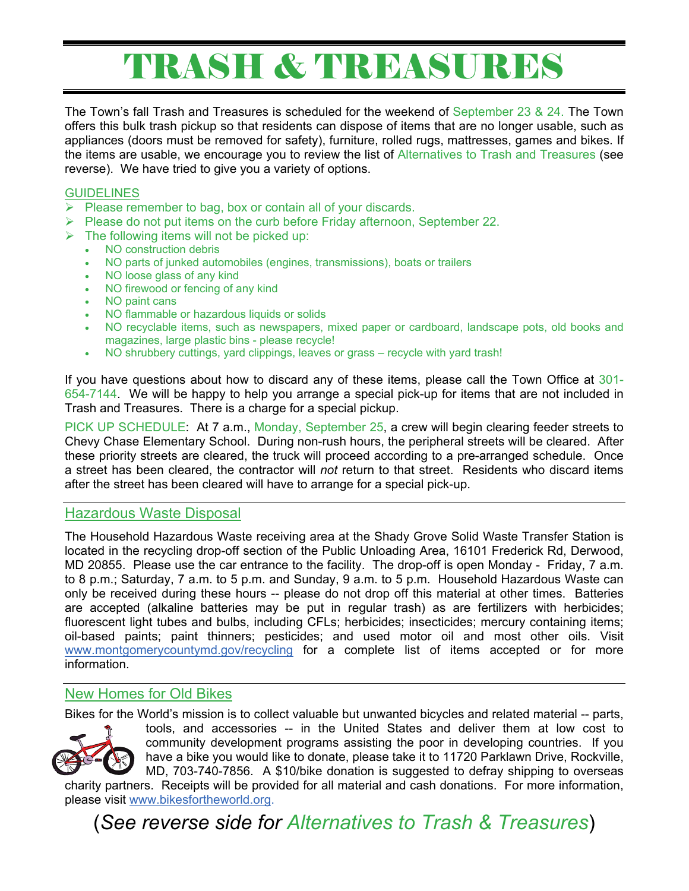# TRASH & TREASURES

The Town's fall Trash and Treasures is scheduled for the weekend of September 23 & 24. The Town offers this bulk trash pickup so that residents can dispose of items that are no longer usable, such as appliances (doors must be removed for safety), furniture, rolled rugs, mattresses, games and bikes. If the items are usable, we encourage you to review the list of Alternatives to Trash and Treasures (see reverse). We have tried to give you a variety of options.

### **GUIDELINES**

- $\triangleright$  Please remember to bag, box or contain all of your discards.
- $\triangleright$  Please do not put items on the curb before Friday afternoon, September 22.
- $\triangleright$  The following items will not be picked up:
	- NO construction debris
	- NO parts of junked automobiles (engines, transmissions), boats or trailers
	- NO loose glass of any kind
	- NO firewood or fencing of any kind
	- NO paint cans
	- NO flammable or hazardous liquids or solids
	- NO recyclable items, such as newspapers, mixed paper or cardboard, landscape pots, old books and magazines, large plastic bins - please recycle!
	- NO shrubbery cuttings, yard clippings, leaves or grass recycle with yard trash!

If you have questions about how to discard any of these items, please call the Town Office at 301- 654-7144. We will be happy to help you arrange a special pick-up for items that are not included in Trash and Treasures. There is a charge for a special pickup.

PICK UP SCHEDULE: At 7 a.m., Monday, September 25, a crew will begin clearing feeder streets to Chevy Chase Elementary School. During non-rush hours, the peripheral streets will be cleared. After these priority streets are cleared, the truck will proceed according to a pre-arranged schedule. Once a street has been cleared, the contractor will *not* return to that street. Residents who discard items after the street has been cleared will have to arrange for a special pick-up.

### Hazardous Waste Disposal

The Household Hazardous Waste receiving area at the Shady Grove Solid Waste Transfer Station is located in the recycling drop-off section of the Public Unloading Area, 16101 Frederick Rd, Derwood, MD 20855. Please use the car entrance to the facility. The drop-off is open Monday - Friday, 7 a.m. to 8 p.m.; Saturday, 7 a.m. to 5 p.m. and Sunday, 9 a.m. to 5 p.m. Household Hazardous Waste can only be received during these hours -- please do not drop off this material at other times. Batteries are accepted (alkaline batteries may be put in regular trash) as are fertilizers with herbicides; fluorescent light tubes and bulbs, including CFLs; herbicides; insecticides; mercury containing items; oil-based paints; paint thinners; pesticides; and used motor oil and most other oils. Visit www.montgomerycountymd.gov/recycling for a complete list of items accepted or for more information.

### New Homes for Old Bikes

Bikes for the World's mission is to collect valuable but unwanted bicycles and related material -- parts,



tools, and accessories -- in the United States and deliver them at low cost to community development programs assisting the poor in developing countries. If you have a bike you would like to donate, please take it to 11720 Parklawn Drive, Rockville, MD, 703-740-7856. A \$10/bike donation is suggested to defray shipping to overseas charity partners. Receipts will be provided for all material and cash donations. For more information, please visit www.bikesfortheworld.org.

(*See reverse side for Alternatives to Trash & Treasures*)